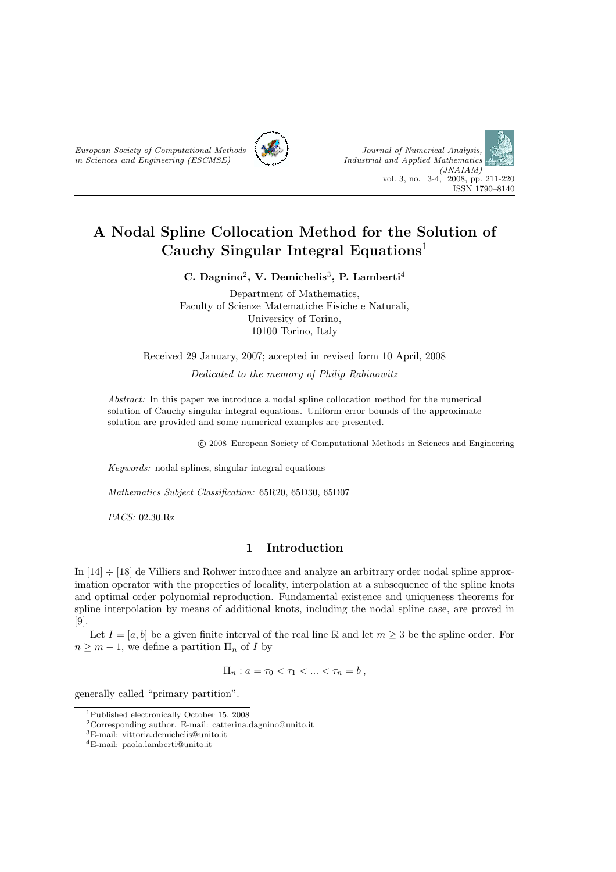



# A Nodal Spline Collocation Method for the Solution of Cauchy Singular Integral Equations<sup>1</sup>

C. Dagnino<sup>2</sup>, V. Demichelis<sup>3</sup>, P. Lamberti<sup>4</sup>

Department of Mathematics, Faculty of Scienze Matematiche Fisiche e Naturali, University of Torino, 10100 Torino, Italy

Received 29 January, 2007; accepted in revised form 10 April, 2008

Dedicated to the memory of Philip Rabinowitz

Abstract: In this paper we introduce a nodal spline collocation method for the numerical solution of Cauchy singular integral equations. Uniform error bounds of the approximate solution are provided and some numerical examples are presented.

c 2008 European Society of Computational Methods in Sciences and Engineering

Keywords: nodal splines, singular integral equations

Mathematics Subject Classification: 65R20, 65D30, 65D07

PACS: 02.30.Rz

## 1 Introduction

In  $[14] \div [18]$  de Villiers and Rohwer introduce and analyze an arbitrary order nodal spline approximation operator with the properties of locality, interpolation at a subsequence of the spline knots and optimal order polynomial reproduction. Fundamental existence and uniqueness theorems for spline interpolation by means of additional knots, including the nodal spline case, are proved in [9].

Let  $I = [a, b]$  be a given finite interval of the real line R and let  $m \geq 3$  be the spline order. For  $n \geq m-1$ , we define a partition  $\Pi_n$  of I by

 $\Pi_n : a = \tau_0 < \tau_1 < \ldots < \tau_n = b$ ,

generally called "primary partition".

<sup>1</sup>Published electronically October 15, 2008

<sup>2</sup>Corresponding author. E-mail: catterina.dagnino@unito.it

<sup>3</sup>E-mail: vittoria.demichelis@unito.it

<sup>4</sup>E-mail: paola.lamberti@unito.it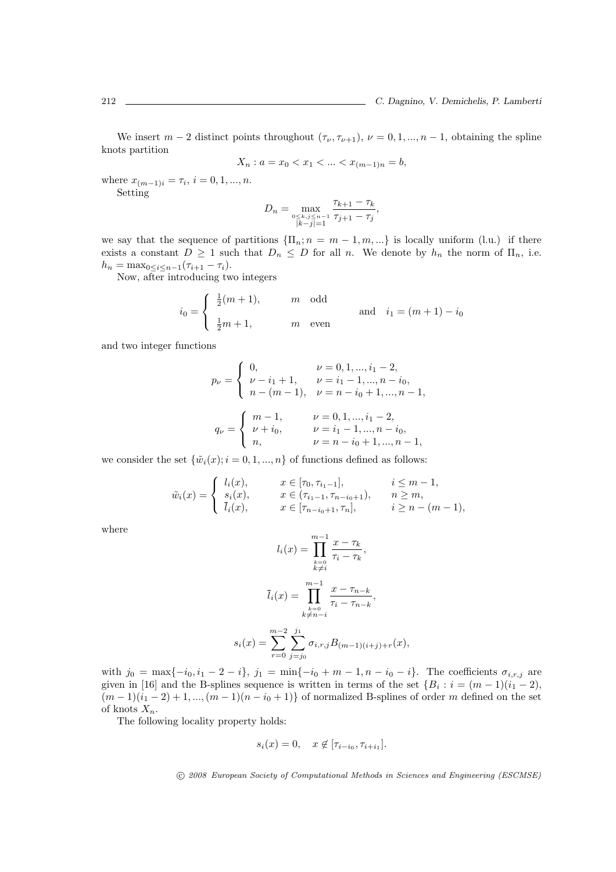We insert  $m-2$  distinct points throughout  $(\tau_{\nu}, \tau_{\nu+1}), \nu = 0, 1, ..., n-1$ , obtaining the spline knots partition

$$
X_n : a = x_0 < x_1 < \dots < x_{(m-1)n} = b,
$$

where  $x_{(m-1)i} = \tau_i, i = 0, 1, ..., n$ . Setting

$$
D_n = \max_{\substack{0 \le k, j \le n-1 \\ |k-j| = 1}} \frac{\tau_{k+1} - \tau_k}{\tau_{j+1} - \tau_j},
$$

we say that the sequence of partitions  $\{\Pi_n; n = m-1, m, ...\}$  is locally uniform (l.u.) if there exists a constant  $D \ge 1$  such that  $D_n \le D$  for all n. We denote by  $h_n$  the norm of  $\Pi_n$ , i.e.  $h_n = \max_{0 \le i \le n-1} (\tau_{i+1} - \tau_i).$ 

Now, after introducing two integers

$$
i_0 = \begin{cases} \frac{1}{2}(m+1), & m \text{ odd} \\ \frac{1}{2}m+1, & m \text{ even} \end{cases}
$$
 and  $i_1 = (m+1) - i_0$ 

and two integer functions

$$
p_{\nu} = \begin{cases} 0, & \nu = 0, 1, ..., i_1 - 2, \\ \nu - i_1 + 1, & \nu = i_1 - 1, ..., n - i_0, \\ n - (m - 1), & \nu = n - i_0 + 1, ..., n - 1, \end{cases}
$$
  

$$
q_{\nu} = \begin{cases} m - 1, & \nu = 0, 1, ..., i_1 - 2, \\ \nu + i_0, & \nu = i_1 - 1, ..., n - i_0, \\ n, & \nu = n - i_0 + 1, ..., n - 1, \end{cases}
$$

we consider the set  $\{\tilde{w}_i(x); i = 0, 1, ..., n\}$  of functions defined as follows:

 $\overline{\phantom{a}}$ 

$$
\tilde{w}_i(x) = \begin{cases}\n l_i(x), & x \in [\tau_0, \tau_{i_1-1}], & i \leq m-1, \\
s_i(x), & x \in (\tau_{i_1-1}, \tau_{n-i_0+1}), & n \geq m, \\
\bar{l}_i(x), & x \in [\tau_{n-i_0+1}, \tau_n], & i \geq n-(m-1),\n\end{cases}
$$

where

$$
l_i(x) = \prod_{\substack{k=0 \ k \neq i}}^{m-1} \frac{x - \tau_k}{\tau_i - \tau_k},
$$

$$
\bar{l}_i(x) = \prod_{\substack{k=0 \ k \neq n-i}}^{m-1} \frac{x - \tau_{n-k}}{\tau_i - \tau_{n-k}},
$$

$$
s_i(x) = \sum_{r=0}^{m-2} \sum_{j=j_0}^{j_1} \sigma_{i,r,j} B_{(m-1)(i+j)+r}(x),
$$

with  $j_0 = \max\{-i_0, i_1 - 2 - i\}$ ,  $j_1 = \min\{-i_0 + m - 1, n - i_0 - i\}$ . The coefficients  $\sigma_{i,r,j}$  are given in [16] and the B-splines sequence is written in terms of the set  $\{B_i : i = (m-1)(i_1 - 2),\}$  $(m-1)(i_1-2)+1, ..., (m-1)(n-i_0+1)$  of normalized B-splines of order m defined on the set of knots  $X_n$ .

The following locality property holds:

$$
s_i(x) = 0, \quad x \notin [\tau_{i-i_0}, \tau_{i+i_1}].
$$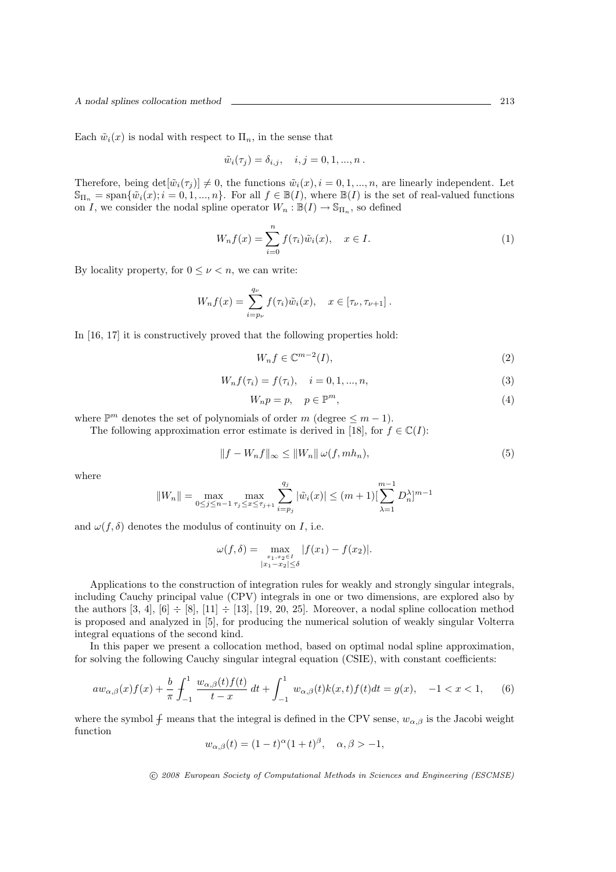Each  $\tilde{w}_i(x)$  is nodal with respect to  $\Pi_n$ , in the sense that

$$
\tilde{w}_i(\tau_j) = \delta_{i,j}, \quad i, j = 0, 1, \dots, n.
$$

Therefore, being  $\det[\tilde{w}_i(\tau_j)] \neq 0$ , the functions  $\tilde{w}_i(x), i = 0, 1, ..., n$ , are linearly independent. Let  $\mathbb{S}_{\Pi_n} = \text{span}\{\tilde{w}_i(x); i = 0, 1, ..., n\}.$  For all  $f \in \mathbb{B}(I)$ , where  $\mathbb{B}(I)$  is the set of real-valued functions on I, we consider the nodal spline operator  $W_n : \mathbb{B}(I) \to \mathbb{S}_{\Pi_n}$ , so defined

$$
W_n f(x) = \sum_{i=0}^n f(\tau_i) \tilde{w}_i(x), \quad x \in I.
$$
 (1)

By locality property, for  $0 \leq \nu \leq n$ , we can write:

$$
W_n f(x) = \sum_{i=p_\nu}^{q_\nu} f(\tau_i) \tilde{w}_i(x), \quad x \in [\tau_\nu, \tau_{\nu+1}].
$$

In [16, 17] it is constructively proved that the following properties hold:

$$
W_n f \in \mathbb{C}^{m-2}(I),\tag{2}
$$

$$
W_n f(\tau_i) = f(\tau_i), \quad i = 0, 1, ..., n,
$$
\n(3)

$$
W_n p = p, \quad p \in \mathbb{P}^m,\tag{4}
$$

where  $\mathbb{P}^m$  denotes the set of polynomials of order m (degree  $\leq m-1$ ).

The following approximation error estimate is derived in [18], for  $f \in \mathbb{C}(I)$ :

$$
||f - W_n f||_{\infty} \le ||W_n|| \omega(f, m h_n), \tag{5}
$$

where

$$
||W_n|| = \max_{0 \le j \le n-1} \max_{\tau_j \le x \le \tau_{j+1}} \sum_{i=p_j}^{q_j} |\tilde{w}_i(x)| \le (m+1) [\sum_{\lambda=1}^{m-1} D_n^{\lambda}]^{m-1}
$$

and  $\omega(f, \delta)$  denotes the modulus of continuity on I, i.e.

$$
\omega(f,\delta) = \max_{\substack{x_1, x_2 \in I \\ |x_1 - x_2| \le \delta}} |f(x_1) - f(x_2)|.
$$

Applications to the construction of integration rules for weakly and strongly singular integrals, including Cauchy principal value (CPV) integrals in one or two dimensions, are explored also by the authors [3, 4], [6]  $\div$  [8], [11]  $\div$  [13], [19, 20, 25]. Moreover, a nodal spline collocation method is proposed and analyzed in [5], for producing the numerical solution of weakly singular Volterra integral equations of the second kind.

In this paper we present a collocation method, based on optimal nodal spline approximation, for solving the following Cauchy singular integral equation (CSIE), with constant coefficients:

$$
aw_{\alpha,\beta}(x)f(x) + \frac{b}{\pi} \int_{-1}^{1} \frac{w_{\alpha,\beta}(t)f(t)}{t - x} dt + \int_{-1}^{1} w_{\alpha,\beta}(t)k(x,t)f(t)dt = g(x), \quad -1 < x < 1,
$$
 (6)

where the symbol  $\oint$  means that the integral is defined in the CPV sense,  $w_{\alpha,\beta}$  is the Jacobi weight function

$$
w_{\alpha,\beta}(t) = (1-t)^{\alpha}(1+t)^{\beta}, \quad \alpha, \beta > -1,
$$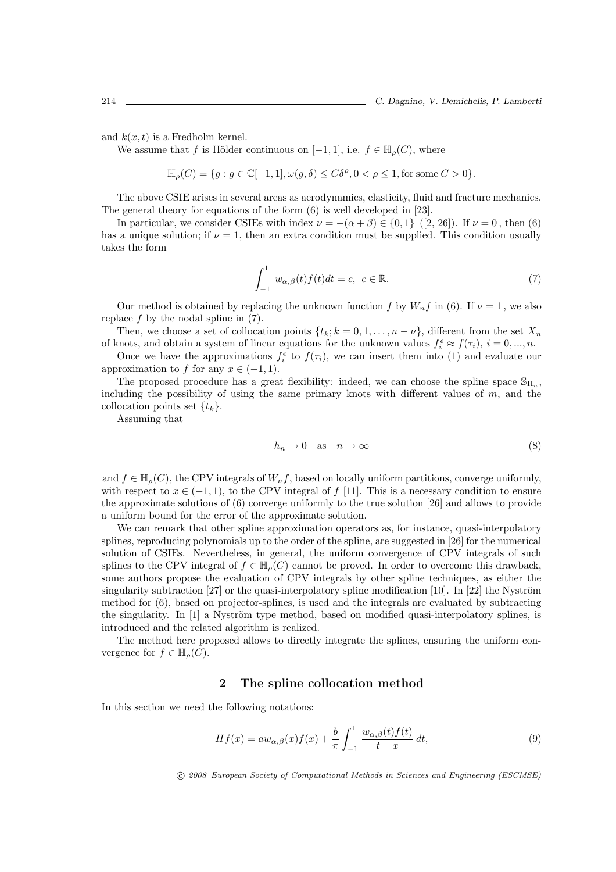and  $k(x,t)$  is a Fredholm kernel.

We assume that f is Hölder continuous on  $[-1, 1]$ , i.e.  $f \in \mathbb{H}_{\rho}(C)$ , where

$$
\mathbb{H}_\rho(C)=\{g: g\in \mathbb{C}[-1,1], \omega(g,\delta)\leq C\delta^\rho, 0<\rho\leq 1, \text{for some }C>0\}.
$$

The above CSIE arises in several areas as aerodynamics, elasticity, fluid and fracture mechanics. The general theory for equations of the form (6) is well developed in [23].

In particular, we consider CSIEs with index  $\nu = -(\alpha + \beta) \in \{0, 1\}$  ([2, 26]). If  $\nu = 0$ , then (6) has a unique solution; if  $\nu = 1$ , then an extra condition must be supplied. This condition usually takes the form

$$
\int_{-1}^{1} w_{\alpha,\beta}(t)f(t)dt = c, \ c \in \mathbb{R}.
$$
 (7)

Our method is obtained by replacing the unknown function f by  $W_nf$  in (6). If  $\nu=1$ , we also replace  $f$  by the nodal spline in  $(7)$ .

Then, we choose a set of collocation points  $\{t_k; k = 0, 1, \ldots, n - \nu\}$ , different from the set  $X_n$ of knots, and obtain a system of linear equations for the unknown values  $f_i^{\epsilon} \approx f(\tau_i)$ ,  $i = 0, ..., n$ .

Once we have the approximations  $f_i^{\epsilon}$  to  $f(\tau_i)$ , we can insert them into (1) and evaluate our approximation to f for any  $x \in (-1, 1)$ .

The proposed procedure has a great flexibility: indeed, we can choose the spline space  $\mathbb{S}_{\Pi_n}$ , including the possibility of using the same primary knots with different values of  $m$ , and the collocation points set  $\{t_k\}$ .

Assuming that

$$
h_n \to 0 \quad \text{as} \quad n \to \infty \tag{8}
$$

and  $f \in \mathbb{H}_{\rho}(C)$ , the CPV integrals of  $W_nf$ , based on locally uniform partitions, converge uniformly, with respect to  $x \in (-1,1)$ , to the CPV integral of f [11]. This is a necessary condition to ensure the approximate solutions of (6) converge uniformly to the true solution [26] and allows to provide a uniform bound for the error of the approximate solution.

We can remark that other spline approximation operators as, for instance, quasi-interpolatory splines, reproducing polynomials up to the order of the spline, are suggested in [26] for the numerical solution of CSIEs. Nevertheless, in general, the uniform convergence of CPV integrals of such splines to the CPV integral of  $f \in \mathbb{H}_{\rho}(C)$  cannot be proved. In order to overcome this drawback, some authors propose the evaluation of CPV integrals by other spline techniques, as either the singularity subtraction  $[27]$  or the quasi-interpolatory spline modification  $[10]$ . In  $[22]$  the Nyström method for (6), based on projector-splines, is used and the integrals are evaluated by subtracting the singularity. In  $[1]$  a Nyström type method, based on modified quasi-interpolatory splines, is introduced and the related algorithm is realized.

The method here proposed allows to directly integrate the splines, ensuring the uniform convergence for  $f \in \mathbb{H}_{\rho}(C)$ .

#### 2 The spline collocation method

In this section we need the following notations:

$$
Hf(x) = aw_{\alpha,\beta}(x)f(x) + \frac{b}{\pi} \int_{-1}^{1} \frac{w_{\alpha,\beta}(t)f(t)}{t - x} dt,
$$
\n(9)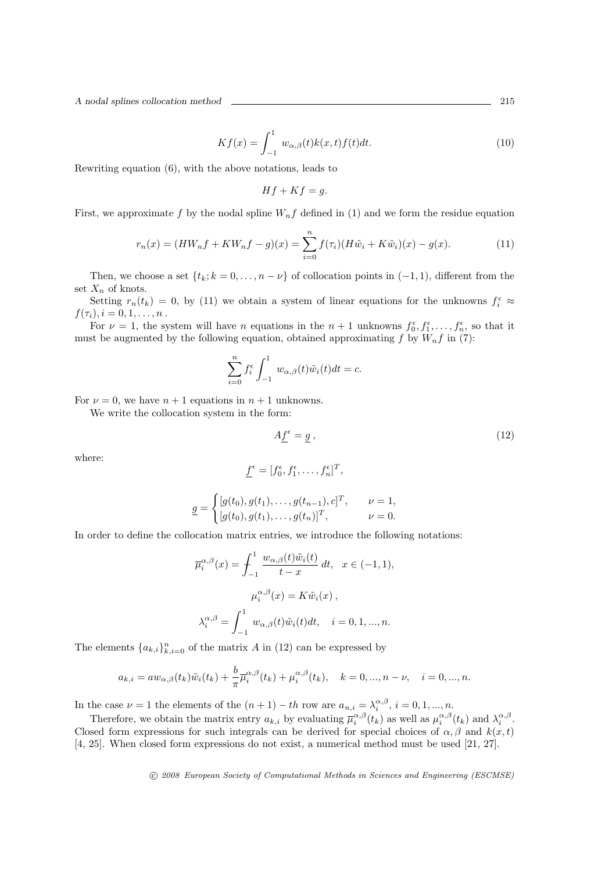A nodal splines collocation method 215

$$
Kf(x) = \int_{-1}^{1} w_{\alpha,\beta}(t)k(x,t)f(t)dt.
$$
 (10)

Rewriting equation (6), with the above notations, leads to

$$
Hf + Kf = g.
$$

First, we approximate f by the nodal spline  $W_n f$  defined in (1) and we form the residue equation

$$
r_n(x) = (HW_nf + KW_nf - g)(x) = \sum_{i=0}^n f(\tau_i)(H\tilde{w}_i + K\tilde{w}_i)(x) - g(x).
$$
 (11)

Then, we choose a set  $\{t_k; k = 0, \ldots, n - \nu\}$  of collocation points in  $(-1, 1)$ , different from the set  $X_n$  of knots.

Setting  $r_n(t_k) = 0$ , by (11) we obtain a system of linear equations for the unknowns  $f_i^{\epsilon} \approx$  $f(\tau_i), i = 0, 1, \ldots, n$ .

For  $\nu = 1$ , the system will have *n* equations in the  $n + 1$  unknowns  $f_0^{\epsilon}, f_1^{\epsilon}, \ldots, f_n^{\epsilon}$ , so that it must be augmented by the following equation, obtained approximating  $f$  by  $W_nf$  in (7):

$$
\sum_{i=0}^{n} f_i^{\epsilon} \int_{-1}^{1} w_{\alpha,\beta}(t) \tilde{w}_i(t) dt = c.
$$

For  $\nu = 0$ , we have  $n + 1$  equations in  $n + 1$  unknowns.

We write the collocation system in the form:

$$
A \underline{f}^{\epsilon} = \underline{g} \,, \tag{12}
$$

where:

$$
\underline{f}^{\epsilon} = [f_0^{\epsilon}, f_1^{\epsilon}, \dots, f_n^{\epsilon}]^T,
$$

$$
\underline{g} = \begin{cases} [g(t_0), g(t_1), \dots, g(t_{n-1}), c]^T, & \nu = 1, \\ [g(t_0), g(t_1), \dots, g(t_n)]^T, & \nu = 0. \end{cases}
$$

In order to define the collocation matrix entries, we introduce the following notations:

$$
\overline{\mu}_{i}^{\alpha,\beta}(x) = \int_{-1}^{1} \frac{w_{\alpha,\beta}(t)\tilde{w}_{i}(t)}{t-x} dt, \quad x \in (-1,1),
$$

$$
\mu_{i}^{\alpha,\beta}(x) = K\tilde{w}_{i}(x),
$$

$$
\lambda_{i}^{\alpha,\beta} = \int_{-1}^{1} w_{\alpha,\beta}(t)\tilde{w}_{i}(t)dt, \quad i = 0,1,...,n.
$$

The elements  ${a_{k,i}}_{k,i=0}^n$  of the matrix A in (12) can be expressed by

$$
a_{k,i} = aw_{\alpha,\beta}(t_k)\tilde{w}_i(t_k) + \frac{b}{\pi} \overline{\mu}_i^{\alpha,\beta}(t_k) + \mu_i^{\alpha,\beta}(t_k), \quad k = 0, ..., n - \nu, \quad i = 0, ..., n.
$$

In the case  $\nu = 1$  the elements of the  $(n + 1) - th$  row are  $a_{n,i} = \lambda_i^{\alpha,\beta}, i = 0, 1, ..., n$ .

Therefore, we obtain the matrix entry  $a_{k,i}$  by evaluating  $\overline{\mu}_{i}^{\alpha,\beta}(t_k)$  as well as  $\mu_{i}^{\alpha,\beta}(t_k)$  and  $\lambda_{i}^{\alpha,\beta}$ . Closed form expressions for such integrals can be derived for special choices of  $\alpha, \beta$  and  $k(x, t)$ [4, 25]. When closed form expressions do not exist, a numerical method must be used [21, 27].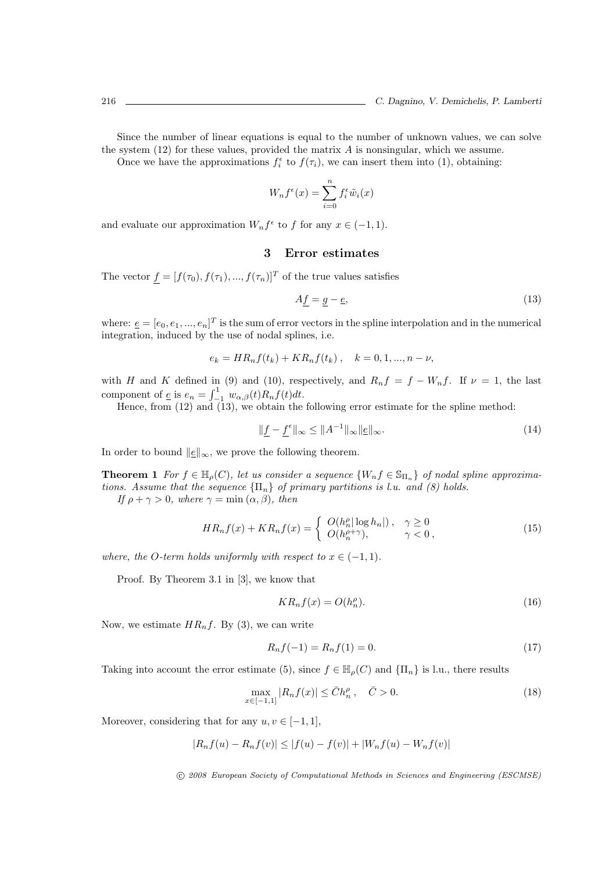Since the number of linear equations is equal to the number of unknown values, we can solve the system  $(12)$  for these values, provided the matrix A is nonsingular, which we assume.

Once we have the approximations  $f_i^{\epsilon}$  to  $f(\tau_i)$ , we can insert them into (1), obtaining:

$$
W_n f^{\epsilon}(x) = \sum_{i=0}^n f_i^{\epsilon} \tilde{w}_i(x)
$$

and evaluate our approximation  $W_n f^{\epsilon}$  to f for any  $x \in (-1, 1)$ .

## 3 Error estimates

The vector  $f = [f(\tau_0), f(\tau_1), ..., f(\tau_n)]^T$  of the true values satisfies

$$
A\underline{f} = \underline{g} - \underline{e},\tag{13}
$$

where:  $e = [e_0, e_1, ..., e_n]^T$  is the sum of error vectors in the spline interpolation and in the numerical integration, induced by the use of nodal splines, i.e.

$$
e_k = HR_nf(t_k) + KR_nf(t_k), \quad k = 0, 1, ..., n - \nu,
$$

with H and K defined in (9) and (10), respectively, and  $R_nf = f - W_nf$ . If  $\nu = 1$ , the last component of  $\underline{e}$  is  $e_n = \int_{-1}^{1} w_{\alpha,\beta}(t) R_n f(t) dt$ .<br>Hence, from (12) and (13), we obtain the following error estimate for the spline method:

$$
\|\underline{f} - \underline{f}^{\epsilon}\|_{\infty} \le \|A^{-1}\|_{\infty} \|\underline{e}\|_{\infty}.
$$
\n(14)

In order to bound  $||\underline{e}||_{\infty}$ , we prove the following theorem.

**Theorem 1** For  $f \in \mathbb{H}_{\rho}(C)$ , let us consider a sequence  $\{W_n f \in \mathbb{S}_{\Pi_n}\}\$  of nodal spline approximations. Assume that the sequence  ${\Pi_n}$  of primary partitions is l.u. and (8) holds.

If  $\rho + \gamma > 0$ , where  $\gamma = \min(\alpha, \beta)$ , then

$$
HR_nf(x) + KR_nf(x) = \begin{cases} O(h_n^{\rho}|\log h_n|), & \gamma \ge 0\\ O(h_n^{\rho+\gamma}), & \gamma < 0, \end{cases}
$$
\n(15)

where, the O-term holds uniformly with respect to  $x \in (-1,1)$ .

Proof. By Theorem 3.1 in [3], we know that

$$
KR_n f(x) = O(h_n^{\rho}).
$$
\n(16)

Now, we estimate  $HR_nf$ . By (3), we can write

$$
R_n f(-1) = R_n f(1) = 0.
$$
\n(17)

Taking into account the error estimate (5), since  $f \in \mathbb{H}_{\rho}(C)$  and  $\{\Pi_n\}$  is l.u., there results

$$
\max_{x \in [-1,1]} |R_n f(x)| \le \bar{C} h_n^{\rho} , \quad \bar{C} > 0.
$$
\n(18)

Moreover, considering that for any  $u, v \in [-1, 1]$ ,

$$
|R_n f(u) - R_n f(v)| \le |f(u) - f(v)| + |W_n f(u) - W_n f(v)|
$$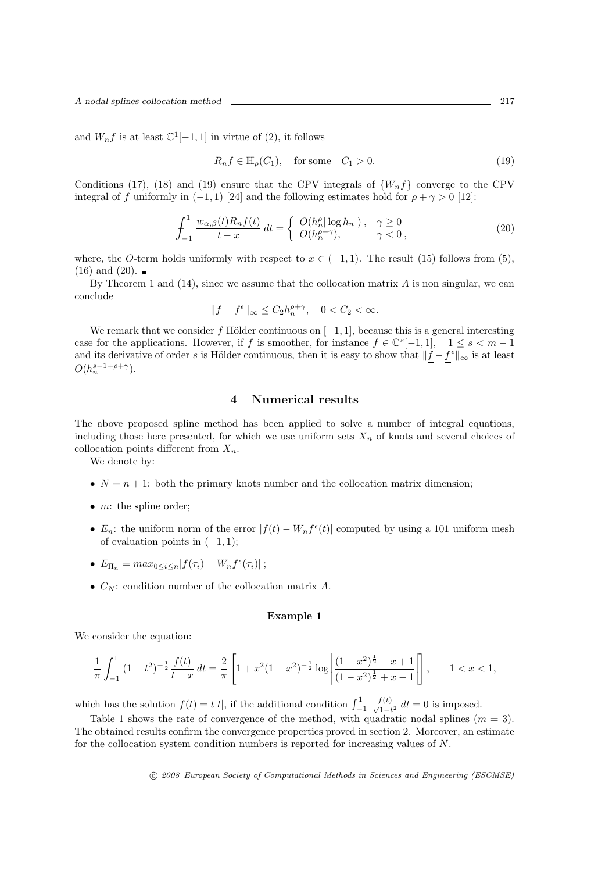and  $W_n f$  is at least  $\mathbb{C}^1[-1,1]$  in virtue of (2), it follows

$$
R_n f \in \mathbb{H}_\rho(C_1), \quad \text{for some} \quad C_1 > 0. \tag{19}
$$

Conditions (17), (18) and (19) ensure that the CPV integrals of  $\{W_nf\}$  converge to the CPV integral of f uniformly in  $(-1, 1)$  [24] and the following estimates hold for  $\rho + \gamma > 0$  [12]:

$$
\int_{-1}^{1} \frac{w_{\alpha,\beta}(t)R_n f(t)}{t-x} dt = \begin{cases} O(h_n^{\rho} |\log h_n|), & \gamma \ge 0 \\ O(h_n^{\rho+\gamma}), & \gamma < 0, \end{cases}
$$
\n(20)

where, the O-term holds uniformly with respect to  $x \in (-1,1)$ . The result (15) follows from (5),  $(16)$  and  $(20)$ .

By Theorem 1 and  $(14)$ , since we assume that the collocation matrix A is non singular, we can conclude

$$
\|\underline{f}-\underline{f}^\epsilon\|_\infty\leq C_2 h_n^{\rho+\gamma},\quad 0
$$

We remark that we consider f Hölder continuous on  $[-1, 1]$ , because this is a general interesting case for the applications. However, if f is smoother, for instance  $f \in \mathbb{C}^{s}[-1,1], \quad 1 \leq s < m-1$ and its derivative of order s is Hölder continuous, then it is easy to show that  $\|\underline{f} - \underline{f}^{\epsilon}\|_{\infty}$  is at least  $O(h_n^{s-1+\rho+\gamma}).$ 

# 4 Numerical results

The above proposed spline method has been applied to solve a number of integral equations, including those here presented, for which we use uniform sets  $X_n$  of knots and several choices of collocation points different from  $X_n$ .

We denote by:

- $N = n + 1$ : both the primary knots number and the collocation matrix dimension;
- $\bullet$  *m*: the spline order:
- $E_n$ : the uniform norm of the error  $|f(t) W_n f^{\epsilon}(t)|$  computed by using a 101 uniform mesh of evaluation points in  $(-1, 1)$ ;
- $E_{\Pi_n} = max_{0 \le i \le n} |f(\tau_i) W_n f^{\epsilon}(\tau_i)|$ ;
- $C_N$ : condition number of the collocation matrix A.

### Example 1

We consider the equation:

$$
\frac{1}{\pi} \int_{-1}^{1} (1 - t^2)^{-\frac{1}{2}} \frac{f(t)}{t - x} dt = \frac{2}{\pi} \left[ 1 + x^2 (1 - x^2)^{-\frac{1}{2}} \log \left| \frac{(1 - x^2)^{\frac{1}{2}} - x + 1}{(1 - x^2)^{\frac{1}{2}} + x - 1} \right| \right], \quad -1 < x < 1,
$$

which has the solution  $f(t) = t|t|$ , if the additional condition  $\int_{-1}^{1}$  $\frac{f(t)}{\sqrt{1-t^2}} dt = 0$  is imposed.

Table 1 shows the rate of convergence of the method, with quadratic nodal splines  $(m = 3)$ . The obtained results confirm the convergence properties proved in section 2. Moreover, an estimate for the collocation system condition numbers is reported for increasing values of N.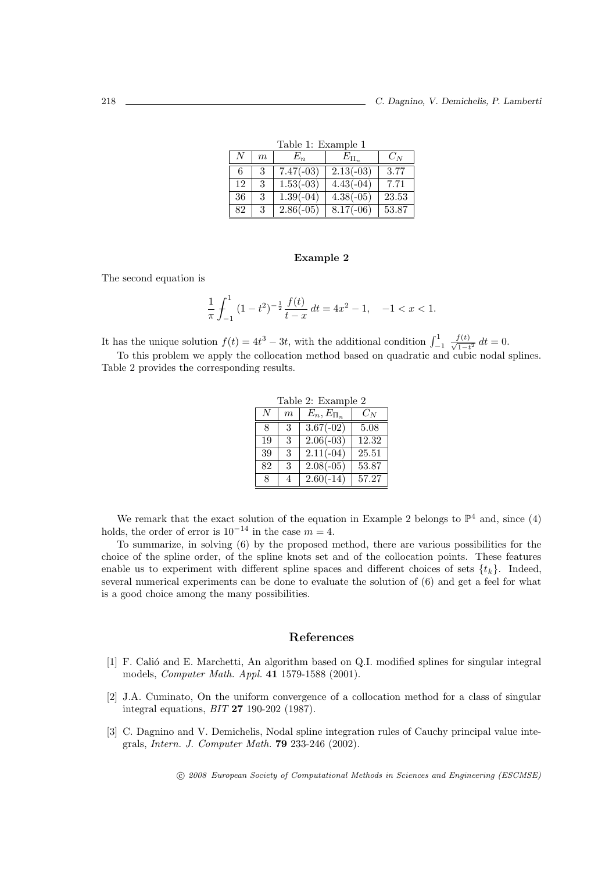| таріє т. пуаніріє т |       |             |             |       |  |  |
|---------------------|-------|-------------|-------------|-------|--|--|
| N                   | $\,m$ | $E_n$       | $E_{\Pi_n}$ | $C_N$ |  |  |
| 6                   | 3     | $7.47(-03)$ | $2.13(-03)$ | 3.77  |  |  |
| 12                  | 3     | $1.53(-03)$ | $4.43(-04)$ | 7.71  |  |  |
| 36                  | 3     | $1.39(-04)$ | $4.38(-05)$ | 23.53 |  |  |
| 82                  | 3     | $2.86(-05)$ | $8.17(-06)$ | 53.87 |  |  |

Table 1: Example 1

#### Example 2

The second equation is

$$
\frac{1}{\pi} \int_{-1}^{1} (1 - t^2)^{-\frac{1}{2}} \frac{f(t)}{t - x} dt = 4x^2 - 1, \quad -1 < x < 1.
$$

It has the unique solution  $f(t) = 4t^3 - 3t$ , with the additional condition  $\int_{-1}^{1}$  $\frac{f(t)}{\sqrt{1-t^2}} dt = 0.$ 

To this problem we apply the collocation method based on quadratic and cubic nodal splines. Table 2 provides the corresponding results.

| Table 2: Example 2 |                  |                        |       |  |  |
|--------------------|------------------|------------------------|-------|--|--|
| N                  | $\boldsymbol{m}$ | $E_n, E_{\Pi_n}$       | $C_N$ |  |  |
| 8                  | 3                | $3.67(-02)$            | 5.08  |  |  |
| 19                 | 3                | $\overline{2.06(-03)}$ | 12.32 |  |  |
| 39                 | 3                | $2.11(-04)$            | 25.51 |  |  |
| 82                 | 3                | $2.08(-05)$            | 53.87 |  |  |
| 8                  | $\overline{4}$   | $2.60(-14)$            | 57.27 |  |  |

We remark that the exact solution of the equation in Example 2 belongs to  $\mathbb{P}^4$  and, since (4) holds, the order of error is  $10^{-14}$  in the case  $m = 4$ .

To summarize, in solving (6) by the proposed method, there are various possibilities for the choice of the spline order, of the spline knots set and of the collocation points. These features enable us to experiment with different spline spaces and different choices of sets  $\{t_k\}$ . Indeed, several numerical experiments can be done to evaluate the solution of (6) and get a feel for what is a good choice among the many possibilities.

## References

- [1] F. Calió and E. Marchetti, An algorithm based on Q.I. modified splines for singular integral models, Computer Math. Appl. 41 1579-1588 (2001).
- [2] J.A. Cuminato, On the uniform convergence of a collocation method for a class of singular integral equations, BIT 27 190-202 (1987).
- [3] C. Dagnino and V. Demichelis, Nodal spline integration rules of Cauchy principal value integrals, Intern. J. Computer Math. 79 233-246 (2002).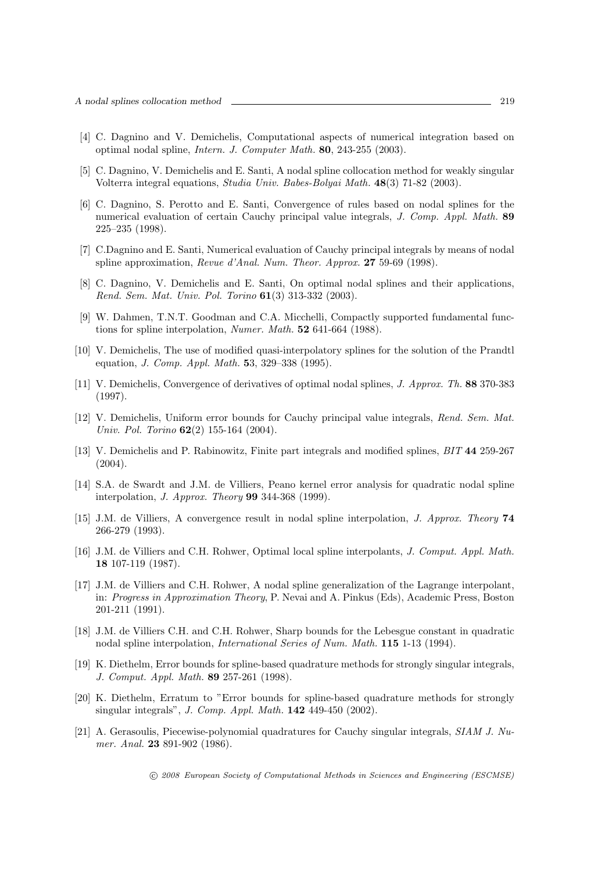- [4] C. Dagnino and V. Demichelis, Computational aspects of numerical integration based on optimal nodal spline, Intern. J. Computer Math. 80, 243-255 (2003).
- [5] C. Dagnino, V. Demichelis and E. Santi, A nodal spline collocation method for weakly singular Volterra integral equations, Studia Univ. Babes-Bolyai Math. 48(3) 71-82 (2003).
- [6] C. Dagnino, S. Perotto and E. Santi, Convergence of rules based on nodal splines for the numerical evaluation of certain Cauchy principal value integrals, J. Comp. Appl. Math. 89 225–235 (1998).
- [7] C.Dagnino and E. Santi, Numerical evaluation of Cauchy principal integrals by means of nodal spline approximation, Revue d'Anal. Num. Theor. Approx. 27 59-69 (1998).
- [8] C. Dagnino, V. Demichelis and E. Santi, On optimal nodal splines and their applications, Rend. Sem. Mat. Univ. Pol. Torino 61(3) 313-332 (2003).
- [9] W. Dahmen, T.N.T. Goodman and C.A. Micchelli, Compactly supported fundamental functions for spline interpolation, Numer. Math. 52 641-664 (1988).
- [10] V. Demichelis, The use of modified quasi-interpolatory splines for the solution of the Prandtl equation, J. Comp. Appl. Math. 53, 329–338 (1995).
- [11] V. Demichelis, Convergence of derivatives of optimal nodal splines, J. Approx. Th. 88 370-383 (1997).
- [12] V. Demichelis, Uniform error bounds for Cauchy principal value integrals, Rend. Sem. Mat. Univ. Pol. Torino **62**(2) 155-164 (2004).
- [13] V. Demichelis and P. Rabinowitz, Finite part integrals and modified splines, BIT 44 259-267 (2004).
- [14] S.A. de Swardt and J.M. de Villiers, Peano kernel error analysis for quadratic nodal spline interpolation, J. Approx. Theory 99 344-368 (1999).
- [15] J.M. de Villiers, A convergence result in nodal spline interpolation, J. Approx. Theory 74 266-279 (1993).
- [16] J.M. de Villiers and C.H. Rohwer, Optimal local spline interpolants, J. Comput. Appl. Math. 18 107-119 (1987).
- [17] J.M. de Villiers and C.H. Rohwer, A nodal spline generalization of the Lagrange interpolant, in: Progress in Approximation Theory, P. Nevai and A. Pinkus (Eds), Academic Press, Boston 201-211 (1991).
- [18] J.M. de Villiers C.H. and C.H. Rohwer, Sharp bounds for the Lebesgue constant in quadratic nodal spline interpolation, International Series of Num. Math. 115 1-13 (1994).
- [19] K. Diethelm, Error bounds for spline-based quadrature methods for strongly singular integrals, J. Comput. Appl. Math. 89 257-261 (1998).
- [20] K. Diethelm, Erratum to "Error bounds for spline-based quadrature methods for strongly singular integrals", J. Comp. Appl. Math. 142 449-450 (2002).
- [21] A. Gerasoulis, Piecewise-polynomial quadratures for Cauchy singular integrals, SIAM J. Numer. Anal. **23** 891-902 (1986).